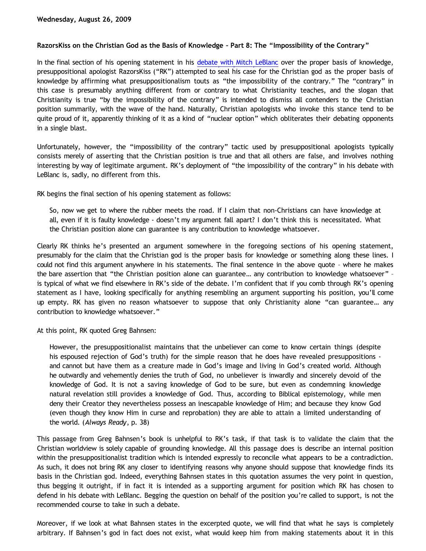## **RazorsKiss on the Christian God as the Basis of Knowledge – Part 8: The "Impossibility of the Contrary"**

In the final section of his opening statement in his [debate with Mitch LeBlanc](http://razorskiss.net/wp/2009/08/08/debate-transcript) over the proper basis of knowledge, presuppositional apologist RazorsKiss ("RK") attempted to seal his case for the Christian god as the proper basis of knowledge by affirming what presuppositionalism touts as "the impossibility of the contrary." The "contrary" in this case is presumably anything different from or contrary to what Christianity teaches, and the slogan that Christianity is true "by the impossibility of the contrary" is intended to dismiss all contenders to the Christian position summarily, with the wave of the hand. Naturally, Christian apologists who invoke this stance tend to be quite proud of it, apparently thinking of it as a kind of "nuclear option" which obliterates their debating opponents in a single blast.

Unfortunately, however, the "impossibility of the contrary" tactic used by presuppositional apologists typically consists merely of asserting that the Christian position is true and that all others are false, and involves nothing interesting by way of legitimate argument. RK's deployment of "the impossibility of the contrary" in his debate with LeBlanc is, sadly, no different from this.

RK begins the final section of his opening statement as follows:

So, now we get to where the rubber meets the road. If I claim that non-Christians can have knowledge at all, even if it is faulty knowledge - doesn't my argument fall apart? I don't think this is necessitated. What the Christian position alone can guarantee is any contribution to knowledge whatsoever.

Clearly RK thinks he's presented an argument somewhere in the foregoing sections of his opening statement, presumably for the claim that the Christian god is the proper basis for knowledge or something along these lines. I could not find this argument anywhere in his statements. The final sentence in the above quote – where he makes the bare assertion that "the Christian position alone can guarantee… any contribution to knowledge whatsoever" – is typical of what we find elsewhere in RK's side of the debate. I'm confident that if you comb through RK's opening statement as I have, looking specifically for anything resembling an argument supporting his position, you'll come up empty. RK has given no reason whatsoever to suppose that only Christianity alone "can guarantee… any contribution to knowledge whatsoever."

At this point, RK quoted Greg Bahnsen:

However, the presuppositionalist maintains that the unbeliever can come to know certain things (despite his espoused rejection of God's truth) for the simple reason that he does have revealed presuppositions and cannot but have them as a creature made in God's image and living in God's created world. Although he outwardly and vehemently denies the truth of God, no unbeliever is inwardly and sincerely devoid of the knowledge of God. It is not a saving knowledge of God to be sure, but even as condemning knowledge natural revelation still provides a knowledge of God. Thus, according to Biblical epistemology, while men deny their Creator they nevertheless possess an inescapable knowledge of Him; and because they know God (even though they know Him in curse and reprobation) they are able to attain a limited understanding of the world. (*Always Ready*, p. 38)

This passage from Greg Bahnsen's book is unhelpful to RK's task, if that task is to validate the claim that the Christian worldview is solely capable of grounding knowledge. All this passage does is describe an internal position within the presuppositionalist tradition which is intended expressly to reconcile what appears to be a contradiction. As such, it does not bring RK any closer to identifying reasons why anyone should suppose that knowledge finds its basis in the Christian god. Indeed, everything Bahnsen states in this quotation assumes the very point in question, thus begging it outright, if in fact it is intended as a supporting argument for position which RK has chosen to defend in his debate with LeBlanc. Begging the question on behalf of the position you're called to support, is not the recommended course to take in such a debate.

Moreover, if we look at what Bahnsen states in the excerpted quote, we will find that what he says is completely arbitrary. If Bahnsen's god in fact does not exist, what would keep him from making statements about it in this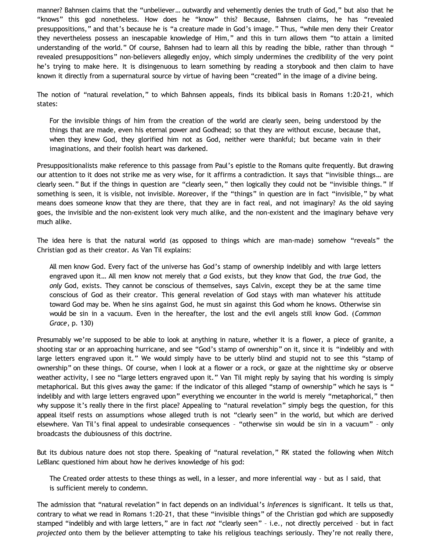manner? Bahnsen claims that the "unbeliever… outwardly and vehemently denies the truth of God," but also that he "knows" this god nonetheless. How does he "know" this? Because, Bahnsen claims, he has "revealed presuppositions," and that's because he is "a creature made in God's image." Thus, "while men deny their Creator they nevertheless possess an inescapable knowledge of Him," and this in turn allows them "to attain a limited understanding of the world." Of course, Bahnsen had to learn all this by reading the bible, rather than through " revealed presuppositions" non-believers allegedly enjoy, which simply undermines the credibility of the very point he's trying to make here. It is disingenuous to learn something by reading a storybook and then claim to have known it directly from a supernatural source by virtue of having been "created" in the image of a divine being.

The notion of "natural revelation," to which Bahnsen appeals, finds its biblical basis in Romans 1:20-21, which states:

For the invisible things of him from the creation of the world are clearly seen, being understood by the things that are made, even his eternal power and Godhead; so that they are without excuse, because that, when they knew God, they glorified him not as God, neither were thankful; but became vain in their imaginations, and their foolish heart was darkened.

Presuppositionalists make reference to this passage from Paul's epistle to the Romans quite frequently. But drawing our attention to it does not strike me as very wise, for it affirms a contradiction. It says that "invisible things… are clearly seen." But if the things in question are "clearly seen," then logically they could not be "invisible things." If something is seen, it is visible, not invisible. Moreover, if the "things" in question are in fact "invisible," by what means does someone know that they are there, that they are in fact real, and not imaginary? As the old saying goes, the invisible and the non-existent look very much alike, and the non-existent and the imaginary behave very much alike.

The idea here is that the natural world (as opposed to things which are man-made) somehow "reveals" the Christian god as their creator. As Van Til explains:

All men know God. Every fact of the universe has God's stamp of ownership indelibly and with large letters engraved upon it… All men know not merely that *a* God exists, but they know that God, the *true* God, the *only* God, exists. They cannot be conscious of themselves, says Calvin, except they be at the same time conscious of God as their creator. This general revelation of God stays with man whatever his attitude toward God may be. When he sins against God, he must sin against this God whom he knows. Otherwise sin would be sin in a vacuum. Even in the hereafter, the lost and the evil angels still know God. (*Common Grace*, p. 130)

Presumably we're supposed to be able to look at anything in nature, whether it is a flower, a piece of granite, a shooting star or an approaching hurricane, and see "God's stamp of ownership" on it, since it is "indelibly and with large letters engraved upon it." We would simply have to be utterly blind and stupid not to see this "stamp of ownership" on these things. Of course, when I look at a flower or a rock, or gaze at the nighttime sky or observe weather activity, I see no "large letters engraved upon it." Van Til might reply by saying that his wording is simply metaphorical. But this gives away the game: if the indicator of this alleged "stamp of ownership" which he says is " indelibly and with large letters engraved upon" everything we encounter in the world is merely "metaphorical," then why suppose it's really there in the first place? Appealing to "natural revelation" simply begs the question, for this appeal itself rests on assumptions whose alleged truth is not "clearly seen" in the world, but which are derived elsewhere. Van Til's final appeal to undesirable consequences – "otherwise sin would be sin in a vacuum" – only broadcasts the dubiousness of this doctrine.

But its dubious nature does not stop there. Speaking of "natural revelation," RK stated the following when Mitch LeBlanc questioned him about how he derives knowledge of his god:

The Created order attests to these things as well, in a lesser, and more inferential way - but as I said, that is sufficient merely to condemn.

The admission that "natural revelation" in fact depends on an individual's *inferences* is significant. It tells us that, contrary to what we read in Romans 1:20-21, that these "invisible things" of the Christian god which are supposedly stamped "indelibly and with large letters," are in fact *not* "clearly seen" – i.e., not directly perceived – but in fact *projected* onto them by the believer attempting to take his religious teachings seriously. They're not really there,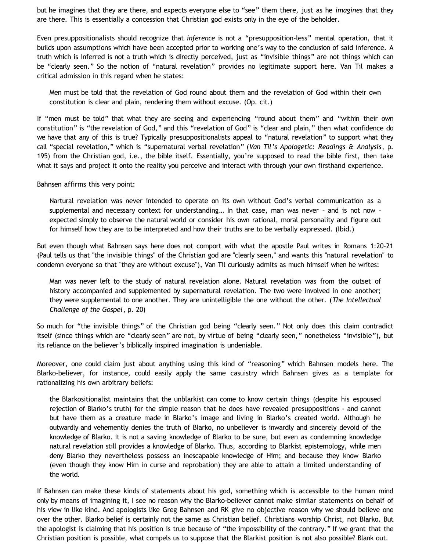but he imagines that they are there, and expects everyone else to "see" them there, just as he *imagines* that they are there. This is essentially a concession that Christian god exists only in the eye of the beholder.

Even presuppositionalists should recognize that *inference* is not a "presupposition-less" mental operation, that it builds upon assumptions which have been accepted prior to working one's way to the conclusion of said inference. A truth which is inferred is not a truth which is directly perceived, just as "invisible things" are not things which can be "clearly seen." So the notion of "natural revelation" provides no legitimate support here. Van Til makes a critical admission in this regard when he states:

Men must be told that the revelation of God round about them and the revelation of God within their own constitution is clear and plain, rendering them without excuse. (Op. cit.)

If "men must be told" that what they are seeing and experiencing "round about them" and "within their own constitution" is "the revelation of God," and this "revelation of God" is "clear and plain," then what confidence do we have that any of this is true? Typically presuppositionalists appeal to "natural revelation" to support what they call "special revelation," which is "supernatural verbal revelation" (*Van Til's Apologetic: Readings & Analysis*, p. 195) from the Christian god, i.e., the bible itself. Essentially, you're supposed to read the bible first, then take what it says and project it onto the reality you perceive and interact with through your own firsthand experience.

Bahnsen affirms this very point:

Nartural revelation was never intended to operate on its own without God's verbal communication as a supplemental and necessary context for understanding… In that case, man was never – and is not now – expected simply to observe the natural world or consider his own rational, moral personality and figure out for himself how they are to be interpreted and how their truths are to be verbally expressed. (Ibid.)

But even though what Bahnsen says here does not comport with what the apostle Paul writes in Romans 1:20-21 (Paul tells us that "the invisible things" of the Christian god are "clearly seen," and wants this "natural revelation" to condemn everyone so that "they are without excuse"), Van Til curiously admits as much himself when he writes:

Man was never left to the study of natural revelation alone. Natural revelation was from the outset of history accompanied and supplemented by supernatural revelation. The two were involved in one another; they were supplemental to one another. They are unintelligible the one without the other. (*The Intellectual Challenge of the Gospel*, p. 20)

So much for "the invisible things" of the Christian god being "clearly seen." Not only does this claim contradict itself (since things which are "clearly seen" are not, by virtue of being "clearly seen," nonetheless "invisible"), but its reliance on the believer's biblically inspired imagination is undeniable.

Moreover, one could claim just about anything using this kind of "reasoning" which Bahnsen models here. The Blarko-believer, for instance, could easily apply the same casuistry which Bahnsen gives as a template for rationalizing his own arbitrary beliefs:

the Blarkositionalist maintains that the unblarkist can come to know certain things (despite his espoused rejection of Blarko's truth) for the simple reason that he does have revealed presuppositions - and cannot but have them as a creature made in Blarko's image and living in Blarko's created world. Although he outwardly and vehemently denies the truth of Blarko, no unbeliever is inwardly and sincerely devoid of the knowledge of Blarko. It is not a saving knowledge of Blarko to be sure, but even as condemning knowledge natural revelation still provides a knowledge of Blarko. Thus, according to Blarkist epistemology, while men deny Blarko they nevertheless possess an inescapable knowledge of Him; and because they know Blarko (even though they know Him in curse and reprobation) they are able to attain a limited understanding of the world.

If Bahnsen can make these kinds of statements about his god, something which is accessible to the human mind only by means of imagining it, I see no reason why the Blarko-believer cannot make similar statements on behalf of his view in like kind. And apologists like Greg Bahnsen and RK give no objective reason why we should believe one over the other. Blarko belief is certainly not the same as Christian belief. Christians worship Christ, not Blarko. But the apologist is claiming that his position is true because of "the impossibility of the contrary." If we grant that the Christian position is possible, what compels us to suppose that the Blarkist position is not also possible? Blank out.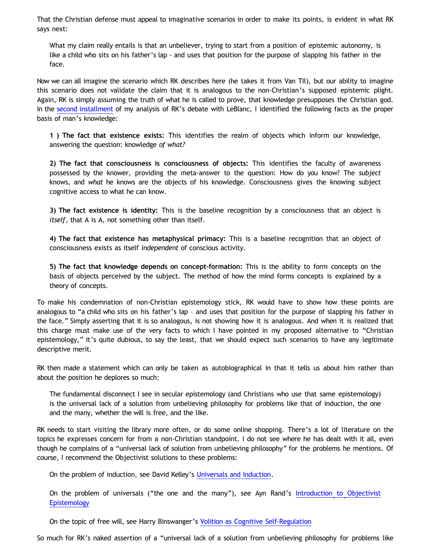That the Christian defense must appeal to imaginative scenarios in order to make its points, is evident in what RK says next:

What my claim really entails is that an unbeliever, trying to start from a position of epistemic autonomy, is like a child who sits on his father's lap - and uses that position for the purpose of slapping his father in the face.

Now we can all imagine the scenario which RK describes here (he takes it from Van TIl), but our ability to imagine this scenario does not validate the claim that it is analogous to the non-Christian's supposed epistemic plight. Again, RK is simply assuming the truth of what he is called to prove, that knowledge presupposes the Christian god. In the [second installment](http://bahnsenburner.blogspot.com/2009/08/razorskiss-on-christian-god-as-basis-of_18.html) of my analysis of RK's debate with LeBlanc, I identified the following facts as the proper basis of man's knowledge:

**1 ) The fact that existence exists:** This identifies the realm of objects which inform our knowledge, answering the question: knowledge *of what?*

**2) The fact that consciousness is consciousness of objects:** This identifies the faculty of awareness possessed by the knower, providing the meta-answer to the question: How do you know? The *subject* knows, and *what* he knows are the objects of his knowledge. Consciousness gives the knowing subject cognitive access to what he can know.

**3) The fact existence is identity:** This is the baseline recognition by a consciousness that an object is *itself*, that A is A, not something other than itself.

**4) The fact that existence has metaphysical primacy:** This is a baseline recognition that an object of consciousness exists as itself *independent* of conscious activity.

**5) The fact that knowledge depends on concept-formation:** This is the ability to form concepts on the basis of objects perceived by the subject. The method of how the mind forms concepts is explained by a theory of concepts.

To make his condemnation of non-Christian epistemology stick, RK would have to show how these points are analogous to "a child who sits on his father's lap – and uses that position for the purpose of slapping his father in the face." Simply asserting that it is so analogous, is not showing how it is analogous. And when it is realized that this charge must make use of the very facts to which I have pointed in my proposed alternative to "Christian epistemology," it's quite dubious, to say the least, that we should expect such scenarios to have any legitimate descriptive merit.

RK then made a statement which can only be taken as autobiographical in that it tells us about him rather than about the position he deplores so much:

The fundamental disconnect I see in secular epistemology (and Christians who use that same epistemology) is the universal lack of a solution from unbelieving philosophy for problems like that of induction, the one and the many, whether the will is free, and the like.

RK needs to start visiting the library more often, or do some online shopping. There's a lot of literature on the topics he expresses concern for from a non-Christian standpoint. I do not see where he has dealt with it all, even though he complains of a "universal lack of solution from unbelieving philosophy" for the problems he mentions. Of course, I recommend the Objectivist solutions to these problems:

On the problem of induction, see David Kelley's [Universals and Induction](http://www.storestage.com/toc/store/comersus_viewItem.asp?idProduct=34).

On the problem of universals ("the one and the many"), see Ayn Rand's [Introduction to Objectivist](http://www.aynrandbookstore2.com/prodinfo.asp?number=AR21B) **[Epistemology](http://www.aynrandbookstore2.com/prodinfo.asp?number=AR21B)** 

On the topic of free will, see Harry Binswanger's [Volition as Cognitive Self-Regulation](http://www.aynrandbookstore2.com/prodinfo.asp?number=CB06E)

So much for RK's naked assertion of a "universal lack of a solution from unbelieving philosophy for problems like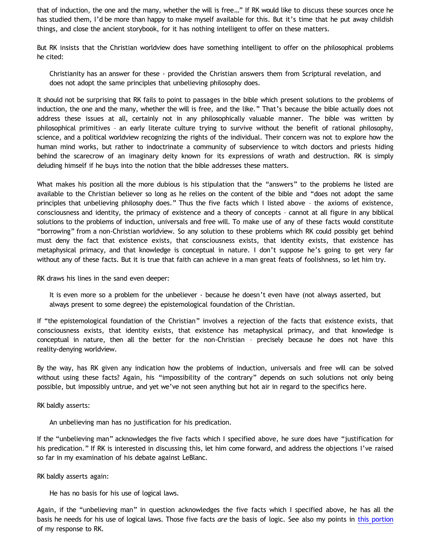that of induction, the one and the many, whether the will is free…" If RK would like to discuss these sources once he has studied them, I'd be more than happy to make myself available for this. But it's time that he put away childish things, and close the ancient storybook, for it has nothing intelligent to offer on these matters.

But RK insists that the Christian worldview does have something intelligent to offer on the philosophical problems he cited:

Christianity has an answer for these - provided the Christian answers them from Scriptural revelation, and does not adopt the same principles that unbelieving philosophy does.

It should not be surprising that RK fails to point to passages in the bible which present solutions to the problems of induction, the one and the many, whether the will is free, and the like." That's because the bible actually does not address these issues at all, certainly not in any philosophically valuable manner. The bible was written by philosophical primitives – an early literate culture trying to survive without the benefit of rational philosophy, science, and a political worldview recognizing the rights of the individual. Their concern was not to explore how the human mind works, but rather to indoctrinate a community of subservience to witch doctors and priests hiding behind the scarecrow of an imaginary deity known for its expressions of wrath and destruction. RK is simply deluding himself if he buys into the notion that the bible addresses these matters.

What makes his position all the more dubious is his stipulation that the "answers" to the problems he listed are available to the Christian believer so long as he relies on the content of the bible and "does not adopt the same principles that unbelieving philosophy does." Thus the five facts which I listed above – the axioms of existence, consciousness and identity, the primacy of existence and a theory of concepts – cannot at all figure in any biblical solutions to the problems of induction, universals and free will. To make use of any of these facts would constitute "borrowing" from a non-Christian worldview. So any solution to these problems which RK could possibly get behind must deny the fact that existence exists, that consciousness exists, that identity exists, that existence has metaphysical primacy, and that knowledge is conceptual in nature. I don't suppose he's going to get very far without any of these facts. But it is true that faith can achieve in a man great feats of foolishness, so let him try.

RK draws his lines in the sand even deeper:

It is even more so a problem for the unbeliever - because he doesn't even have (not always asserted, but always present to some degree) the epistemological foundation of the Christian.

If "the epistemological foundation of the Christian" involves a rejection of the facts that existence exists, that consciousness exists, that identity exists, that existence has metaphysical primacy, and that knowledge is conceptual in nature, then all the better for the non-Christian – precisely because he does not have this reality-denying worldview.

By the way, has RK given any indication how the problems of induction, universals and free will can be solved without using these facts? Again, his "impossibility of the contrary" depends on such solutions not only being possible, but impossibly untrue, and yet we've not seen anything but hot air in regard to the specifics here.

RK baldly asserts:

An unbelieving man has no justification for his predication.

If the "unbelieving man" acknowledges the five facts which I specified above, he sure does have "justification for his predication." If RK is interested in discussing this, let him come forward, and address the objections I've raised so far in my examination of his debate against LeBlanc.

RK baldly asserts again:

He has no basis for his use of logical laws.

Again, if the "unbelieving man" in question acknowledges the five facts which I specified above, he has all the basis he needs for his use of logical laws. Those five facts *are* the basis of logic. See also my points in [this portion](http://bahnsenburner.blogspot.com/2009/08/razorskiss-on-christian-god-as-basis-of_20.html) of my response to RK.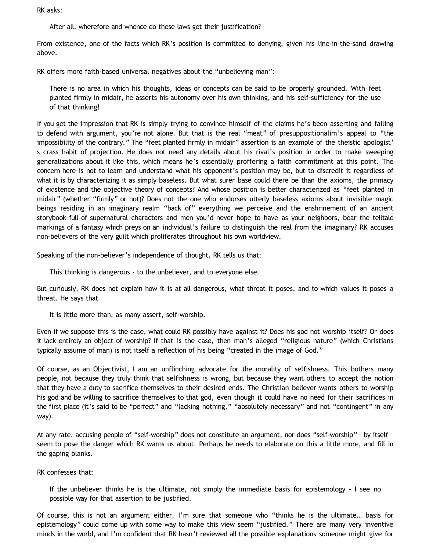RK asks:

After all, wherefore and whence do these laws get their justification?

From existence, one of the facts which RK's position is committed to denying, given his line-in-the-sand drawing above.

RK offers more faith-based universal negatives about the "unbelieving man":

There is no area in which his thoughts, ideas or concepts can be said to be properly grounded. With feet planted firmly in midair, he asserts his autonomy over his own thinking, and his self-sufficiency for the use of that thinking!

If you get the impression that RK is simply trying to convince himself of the claims he's been asserting and failing to defend with argument, you're not alone. But that is the real "meat" of presuppositionalim's appeal to "the impossibility of the contrary." The "feet planted firmly in midair" assertion is an example of the theistic apologist' s crass habit of projection. He does not need any details about his rival's position in order to make sweeping generalizations about it like this, which means he's essentially proffering a faith commitment at this point. The concern here is not to learn and understand what his opponent's position may be, but to discredit it regardless of what it is by characterizing it as simply baseless. But what surer base could there be than the axioms, the primacy of existence and the objective theory of concepts? And whose position is better characterized as "feet planted in midair" (whether "firmly" or not)? Does not the one who endorses utterly baseless axioms about invisible magic beings residing in an imaginary realm "back of" everything we perceive and the enshrinement of an ancient storybook full of supernatural characters and men you'd never hope to have as your neighbors, bear the telltale markings of a fantasy which preys on an individual's failure to distinguish the real from the imaginary? RK accuses non-believers of the very guilt which proliferates throughout his own worldview.

Speaking of the non-believer's independence of thought, RK tells us that:

This thinking is dangerous - to the unbeliever, and to everyone else.

But curiously, RK does not explain how it is at all dangerous, what threat it poses, and to which values it poses a threat. He says that

It is little more than, as many assert, self-worship.

Even if we suppose this is the case, what could RK possibly have against it? Does his god not worship itself? Or does it lack entirely an object of worship? If that is the case, then man's alleged "religious nature" (which Christians typically assume of man) is not itself a reflection of his being "created in the image of God."

Of course, as an Objectivist, I am an unflinching advocate for the morality of selfishness. This bothers many people, not because they truly think that selfishness is wrong, but because they want others to accept the notion that they have a duty to sacrifice themselves to their desired ends. The Christian believer wants others to worship his god and be willing to sacrifice themselves to that god, even though it could have no need for their sacrifices in the first place (it's said to be "perfect" and "lacking nothing," "absolutely necessary" and not "contingent" in any way).

At any rate, accusing people of "self-worship" does not constitute an argument, nor does "self-worship" – by itself – seem to pose the danger which RK warns us about. Perhaps he needs to elaborate on this a little more, and fill in the gaping blanks.

RK confesses that:

If the unbeliever thinks he is the ultimate, not simply the immediate basis for epistemology - I see no possible way for that assertion to be justified.

Of course, this is not an argument either. I'm sure that someone who "thinks he is the ultimate… basis for epistemology" could come up with some way to make this view seem "justified." There are many very inventive minds in the world, and I'm confident that RK hasn't reviewed all the possible explanations someone might give for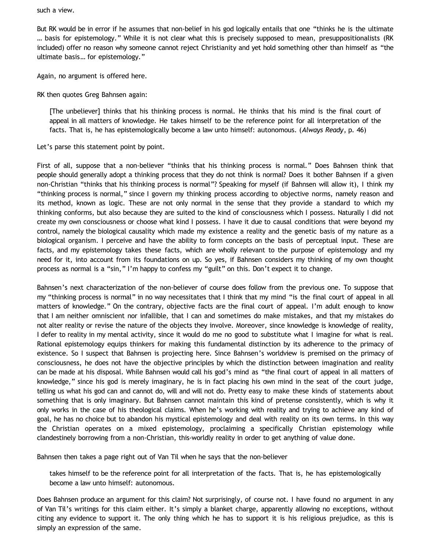such a view.

But RK would be in error if he assumes that non-belief in his god logically entails that one "thinks he is the ultimate … basis for epistemology." While it is not clear what this is precisely supposed to mean, presuppositionalists (RK included) offer no reason why someone cannot reject Christianity and yet hold something other than himself as "the ultimate basis… for epistemology."

Again, no argument is offered here.

RK then quotes Greg Bahnsen again:

[The unbeliever] thinks that his thinking process is normal. He thinks that his mind is the final court of appeal in all matters of knowledge. He takes himself to be the reference point for all interpretation of the facts. That is, he has epistemologically become a law unto himself: autonomous. (*Always Ready*, p. 46)

Let's parse this statement point by point.

First of all, suppose that a non-believer "thinks that his thinking process is normal." Does Bahnsen think that people should generally adopt a thinking process that they do not think is normal? Does it bother Bahnsen if a given non-Christian "thinks that his thinking process is normal"? Speaking for myself (if Bahnsen will allow it), I think my "thinking process is normal," since I govern my thinking process according to objective norms, namely reason and its method, known as logic. These are not only normal in the sense that they provide a standard to which my thinking conforms, but also because they are suited to the kind of consciousness which I possess. Naturally I did not create my own consciousness or choose what kind I possess. I have it due to causal conditions that were beyond my control, namely the biological causality which made my existence a reality and the genetic basis of my nature as a biological organism. I perceive and have the ability to form concepts on the basis of perceptual input. These are facts, and my epistemology takes these facts, which are wholly relevant to the purpose of epistemology and my need for it, into account from its foundations on up. So yes, if Bahnsen considers my thinking of my own thought process as normal is a "sin," I'm happy to confess my "guilt" on this. Don't expect it to change.

Bahnsen's next characterization of the non-believer of course does follow from the previous one. To suppose that my "thinking process is normal" in no way necessitates that I think that my mind "is the final court of appeal in all matters of knowledge." On the contrary, objective facts are the final court of appeal. I'm adult enough to know that I am neither omniscient nor infallible, that I can and sometimes do make mistakes, and that my mistakes do not alter reality or revise the nature of the objects they involve. Moreover, since knowledge is knowledge of reality, I defer to reality in my mental activity, since it would do me no good to substitute what I imagine for what is real. Rational epistemology equips thinkers for making this fundamental distinction by its adherence to the primacy of existence. So I suspect that Bahnsen is projecting here. Since Bahnsen's worldview is premised on the primacy of consciousness, he does not have the objective principles by which the distinction between imagination and reality can be made at his disposal. While Bahnsen would call his god's mind as "the final court of appeal in all matters of knowledge," since his god is merely imaginary, he is in fact placing his own mind in the seat of the court judge, telling us what his god can and cannot do, will and will not do. Pretty easy to make these kinds of statements about something that is only imaginary. But Bahnsen cannot maintain this kind of pretense consistently, which is why it only works in the case of his theological claims. When he's working with reality and trying to achieve any kind of goal, he has no choice but to abandon his mystical epistemology and deal with reality on its own terms. In this way the Christian operates on a mixed epistemology, proclaiming a specifically Christian epistemology while clandestinely borrowing from a non-Christian, this-worldly reality in order to get anything of value done.

Bahnsen then takes a page right out of Van Til when he says that the non-believer

takes himself to be the reference point for all interpretation of the facts. That is, he has epistemologically become a law unto himself: autonomous.

Does Bahnsen produce an argument for this claim? Not surprisingly, of course not. I have found no argument in any of Van Til's writings for this claim either. It's simply a blanket charge, apparently allowing no exceptions, without citing any evidence to support it. The only thing which he has to support it is his religious prejudice, as this is simply an expression of the same.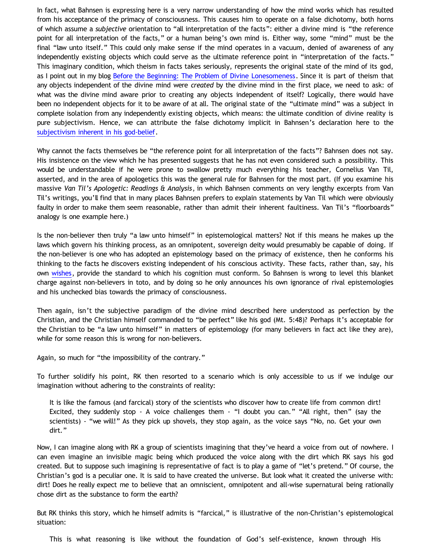In fact, what Bahnsen is expressing here is a very narrow understanding of how the mind works which has resulted from his acceptance of the primacy of consciousness. This causes him to operate on a false dichotomy, both horns of which assume a *subjective* orientation to "all interpretation of the facts": either a divine mind is "the reference point for all interpretation of the facts," or a human being's own mind is. Either way, some "mind" must be the final "law unto itself." This could only make sense if the mind operates in a vacuum, denied of awareness of any independently existing objects which could serve as the ultimate reference point in "interpretation of the facts." This imaginary condition, which theism in facts takes seriously, represents the original state of the mind of its god, as I point out in my blog [Before the Beginning: The Problem of Divine Lonesomeness](http://bahnsenburner.blogspot.com/2008/07/before-beginning-problem-of-divine.html). Since it is part of theism that any objects independent of the divine mind were *created* by the divine mind in the first place, we need to ask: of what was the divine mind aware prior to creating any objects independent of itself? Logically, there would have been no independent objects for it to be aware of at all. The original state of the "ultimate mind" was a subject in complete isolation from any independently existing objects, which means: the ultimate condition of divine reality is pure subjectivism. Hence, we can attribute the false dichotomy implicit in Bahnsen's declaration here to the [subjectivism inherent in his god-belief.](http://bahnsenburner.blogspot.com/2008/12/inherent-subjectivism-of-god-belief.html)

Why cannot the facts themselves be "the reference point for all interpretation of the facts"? Bahnsen does not say. His insistence on the view which he has presented suggests that he has not even considered such a possibility. This would be understandable if he were prone to swallow pretty much everything his teacher, Cornelius Van Til, asserted, and in the area of apologetics this was the general rule for Bahnsen for the most part. (If you examine his massive *Van Til's Apologetic: Readings & Analysis*, in which Bahnsen comments on very lengthy excerpts from Van Til's writings, you'll find that in many places Bahnsen prefers to explain statements by Van Til which were obviously faulty in order to make them seem reasonable, rather than admit their inherent faultiness. Van Til's "floorboards" analogy is one example here.)

Is the non-believer then truly "a law unto himself" in epistemological matters? Not if this means he makes up the laws which govern his thinking process, as an omnipotent, sovereign deity would presumably be capable of doing. If the non-believer is one who has adopted an epistemology based on the primacy of existence, then he conforms his thinking to the facts he discovers existing independent of his conscious activity. These facts, rather than, say, his own [wishes,](http://bahnsenburner.blogspot.com/2006/12/wishing-and-christian-deity.html) provide the standard to which his cognition must conform. So Bahnsen is wrong to level this blanket charge against non-believers in toto, and by doing so he only announces his own ignorance of rival epistemologies and his unchecked bias towards the primacy of consciousness.

Then again, isn't the subjective paradigm of the divine mind described here understood as perfection by the Christian, and the Christian himself commanded to "be perfect" like his god (Mt. 5:48)? Perhaps it's acceptable for the Christian to be "a law unto himself" in matters of epistemology (for many believers in fact act like they are), while for some reason this is wrong for non-believers.

Again, so much for "the impossibility of the contrary."

To further solidify his point, RK then resorted to a scenario which is only accessible to us if we indulge our imagination without adhering to the constraints of reality:

It is like the famous (and farcical) story of the scientists who discover how to create life from common dirt! Excited, they suddenly stop - A voice challenges them - "I doubt you can." "All right, then" (say the scientists) - "we will!" As they pick up shovels, they stop again, as the voice says "No, no. Get your own dirt."

Now, I can imagine along with RK a group of scientists imagining that they've heard a voice from out of nowhere. I can even imagine an invisible magic being which produced the voice along with the dirt which RK says his god created. But to suppose such imagining is representative of fact is to play a game of "let's pretend." Of course, the Christian's god is a peculiar one. It is said to have created the universe. But look what it created the universe with: dirt! Does he really expect me to believe that an omniscient, omnipotent and all-wise supernatural being rationally chose dirt as the substance to form the earth?

But RK thinks this story, which he himself admits is "farcical," is illustrative of the non-Christian's epistemological situation:

This is what reasoning is like without the foundation of God's self-existence, known through His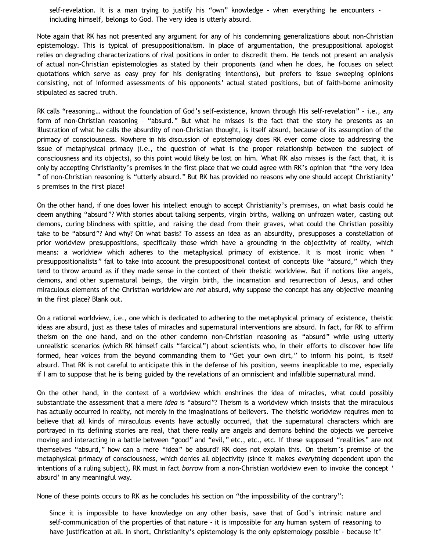self-revelation. It is a man trying to justify his "own" knowledge - when everything he encounters including himself, belongs to God. The very idea is utterly absurd.

Note again that RK has not presented any argument for any of his condemning generalizations about non-Christian epistemology. This is typical of presuppositionalism. In place of argumentation, the presuppositional apologist relies on degrading characterizations of rival positions in order to discredit them. He tends not present an analysis of actual non-Christian epistemologies as stated by their proponents (and when he does, he focuses on select quotations which serve as easy prey for his denigrating intentions), but prefers to issue sweeping opinions consisting, not of informed assessments of his opponents' actual stated positions, but of faith-borne animosity stipulated as sacred truth.

RK calls "reasoning… without the foundation of God's self-existence, known through His self-revelation" – i.e., any form of non-Christian reasoning – "absurd." But what he misses is the fact that the story he presents as an illustration of what he calls the absurdity of non-Christian thought, is itself absurd, because of its assumption of the primacy of consciousness. Nowhere in his discussion of epistemology does RK ever come close to addressing the issue of metaphysical primacy (i.e., the question of what is the proper relationship between the subject of consciousness and its objects), so this point would likely be lost on him. What RK also misses is the fact that, it is only by accepting Christianity's premises in the first place that we could agree with RK's opinion that "the very idea " of non-Christian reasoning is "utterly absurd." But RK has provided no reasons why one should accept Christianity' s premises in the first place!

On the other hand, if one does lower his intellect enough to accept Christianity's premises, on what basis could he deem anything "absurd"? With stories about talking serpents, virgin births, walking on unfrozen water, casting out demons, curing blindness with spittle, and raising the dead from their graves, what could the Christian possibly take to be "absurd"? And why? On what basis? To assess an idea as an absurdity, presupposes a constellation of prior worldview presuppositions, specifically those which have a grounding in the objectivity of reality, which means: a worldview which adheres to the metaphysical primacy of existence. It is most ironic when " presuppositionalists" fail to take into account the presuppositional context of concepts like "absurd," which they tend to throw around as if they made sense in the context of their theistic worldview. But if notions like angels, demons, and other supernatural beings, the virgin birth, the incarnation and resurrection of Jesus, and other miraculous elements of the Christian worldview are *not* absurd, why suppose the concept has any objective meaning in the first place? Blank out.

On a rational worldview, i.e., one which is dedicated to adhering to the metaphysical primacy of existence, theistic ideas are absurd, just as these tales of miracles and supernatural interventions are absurd. In fact, for RK to affirm theism on the one hand, and on the other condemn non-Christian reasoning as "absurd" while using utterly unrealistic scenarios (which RK himself calls "farcical") about scientists who, in their efforts to discover how life formed, hear voices from the beyond commanding them to "Get your own dirt," to inform his point, is itself absurd. That RK is not careful to anticipate this in the defense of his position, seems inexplicable to me, especially if I am to suppose that he is being guided by the revelations of an omniscient and infallible supernatural mind.

On the other hand, in the context of a worldview which enshrines the idea of miracles, what could possibly substantiate the assessment that a mere *idea* is "absurd"? Theism is a worldview which insists that the miraculous has actually occurred in reality, not merely in the imaginations of believers. The theistic worldview requires men to believe that all kinds of miraculous events have actually occurred, that the supernatural characters which are portrayed in its defining stories are real, that there really are angels and demons behind the objects we perceive moving and interacting in a battle between "good" and "evil," etc., etc., etc. If these supposed "realities" are not themselves "absurd," how can a mere "idea" be absurd? RK does not explain this. On theism's premise of the metaphysical primacy of consciousness, which denies all objectivity (since it makes *everything* dependent upon the intentions of a ruling subject), RK must in fact *borrow* from a non-Christian worldview even to invoke the concept ' absurd' in any meaningful way.

None of these points occurs to RK as he concludes his section on "the impossibility of the contrary":

Since it is impossible to have knowledge on any other basis, save that of God's intrinsic nature and self-communication of the properties of that nature - it is impossible for any human system of reasoning to have justification at all. In short, Christianity's epistemology is the only epistemology possible - because it'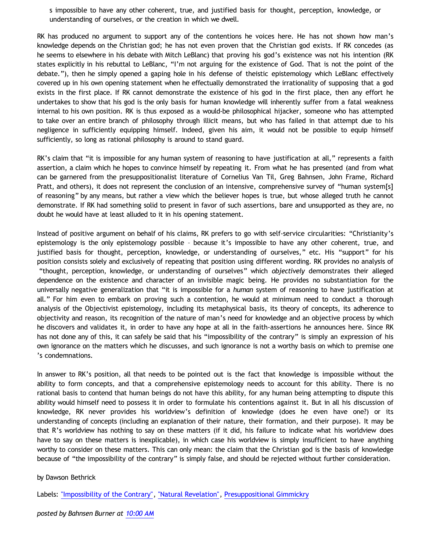s impossible to have any other coherent, true, and justified basis for thought, perception, knowledge, or understanding of ourselves, or the creation in which we dwell.

RK has produced no argument to support any of the contentions he voices here. He has not shown how man's knowledge depends on the Christian god; he has not even proven that the Christian god exists. If RK concedes (as he seems to elsewhere in his debate with Mitch LeBlanc) that proving his god's existence was not his intention (RK states explicitly in his rebuttal to LeBlanc, "I'm not arguing for the existence of God. That is not the point of the debate."), then he simply opened a gaping hole in his defense of theistic epistemology which LeBlanc effectively covered up in his own opening statement when he effectually demonstrated the irrationality of supposing that a god exists in the first place. If RK cannot demonstrate the existence of his god in the first place, then any effort he undertakes to show that his god is the only basis for human knowledge will inherently suffer from a fatal weakness internal to his own position. RK is thus exposed as a would-be philosophical hijacker, someone who has attempted to take over an entire branch of philosophy through illicit means, but who has failed in that attempt due to his negligence in sufficiently equipping himself. Indeed, given his aim, it would not be possible to equip himself sufficiently, so long as rational philosophy is around to stand guard.

RK's claim that "it is impossible for any human system of reasoning to have justification at all," represents a faith assertion, a claim which he hopes to convince himself by repeating it. From what he has presented (and from what can be garnered from the presuppositionalist literature of Cornelius Van Til, Greg Bahnsen, John Frame, Richard Pratt, and others), it does not represent the conclusion of an intensive, comprehensive survey of "human system[s] of reasoning" by any means, but rather a view which the believer hopes is true, but whose alleged truth he cannot demonstrate. If RK had something solid to present in favor of such assertions, bare and unsupported as they are, no doubt he would have at least alluded to it in his opening statement.

Instead of positive argument on behalf of his claims, RK prefers to go with self-service circularities: "Christianity's epistemology is the only epistemology possible – because it's impossible to have any other coherent, true, and justified basis for thought, perception, knowledge, or understanding of ourselves," etc. His "support" for his position consists solely and exclusively of repeating that position using different wording. RK provides no analysis of "thought, perception, knowledge, or understanding of ourselves" which *objectively* demonstrates their alleged dependence on the existence and character of an invisible magic being. He provides no substantiation for the universally negative generalization that "it is impossible for a *human* system of reasoning to have justification at all." For him even to embark on proving such a contention, he would at minimum need to conduct a thorough analysis of the Objectivist epistemology, including its metaphysical basis, its theory of concepts, its adherence to objectivity and reason, its recognition of the nature of man's need for knowledge and an objective process by which he discovers and validates it, in order to have any hope at all in the faith-assertions he announces here. Since RK has not done any of this, it can safely be said that his "impossibility of the contrary" is simply an expression of his own ignorance on the matters which he discusses, and such ignorance is not a worthy basis on which to premise one 's condemnations.

In answer to RK's position, all that needs to be pointed out is the fact that knowledge is impossible without the ability to form concepts, and that a comprehensive epistemology needs to account for this ability. There is no rational basis to contend that human beings do not have this ability, for any human being attempting to dispute this ability would himself need to possess it in order to formulate his contentions against it. But in all his discussion of knowledge, RK never provides his worldview's definition of knowledge (does he even have one?) or its understanding of concepts (including an explanation of their nature, their formation, and their purpose). It may be that R's worldview has nothing to say on these matters (if it did, his failure to indicate what his worldview does have to say on these matters is inexplicable), in which case his worldview is simply insufficient to have anything worthy to consider on these matters. This can only mean: the claim that the Christian god is the basis of knowledge because of "the impossibility of the contrary" is simply false, and should be rejected without further consideration.

## by Dawson Bethrick

Labels: ["Impossibility of the Contrary"](http://bahnsenburner.blogspot.com/search/label/%22Impossibility%20of%20the%20Contrary%22), ["Natural Revelation",](http://bahnsenburner.blogspot.com/search/label/%22Natural%20Revelation%22) [Presuppositional Gimmickry](http://bahnsenburner.blogspot.com/search/label/Presuppositional%20Gimmickry)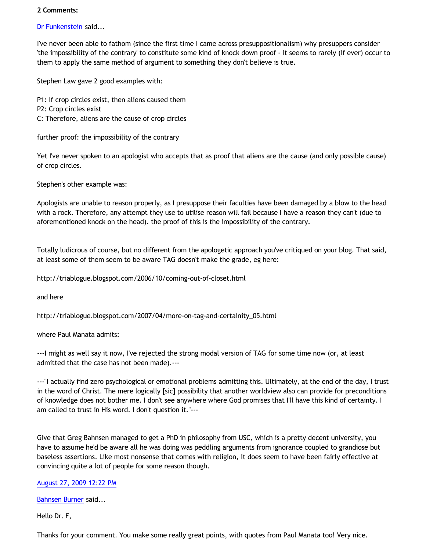## **2 Comments:**

[Dr Funkenstein](http://www.blogger.com/profile/03620894198842461714) said...

I've never been able to fathom (since the first time I came across presuppositionalism) why presuppers consider 'the impossibility of the contrary' to constitute some kind of knock down proof - it seems to rarely (if ever) occur to them to apply the same method of argument to something they don't believe is true.

Stephen Law gave 2 good examples with:

P1: If crop circles exist, then aliens caused them

- P2: Crop circles exist
- C: Therefore, aliens are the cause of crop circles

further proof: the impossibility of the contrary

Yet I've never spoken to an apologist who accepts that as proof that aliens are the cause (and only possible cause) of crop circles.

Stephen's other example was:

Apologists are unable to reason properly, as I presuppose their faculties have been damaged by a blow to the head with a rock. Therefore, any attempt they use to utilise reason will fail because I have a reason they can't (due to aforementioned knock on the head). the proof of this is the impossibility of the contrary.

Totally ludicrous of course, but no different from the apologetic approach you've critiqued on your blog. That said, at least some of them seem to be aware TAG doesn't make the grade, eg here:

<http://triablogue.blogspot.com/2006/10/coming-out-of-closet.html>

and here

[http://triablogue.blogspot.com/2007/04/more-on-tag-and-certainity\\_05.html](http://triablogue.blogspot.com/2007/04/more-on-tag-and-certainity_05.html)

where Paul Manata admits:

---I might as well say it now, I've rejected the strong modal version of TAG for some time now (or, at least admitted that the case has not been made).---

---"I actually find zero psychological or emotional problems admitting this. Ultimately, at the end of the day, I trust in the word of Christ. The mere logically [sic] possibility that another worldview also can provide for preconditions of knowledge does not bother me. I don't see anywhere where God promises that I'll have this kind of certainty. I am called to trust in His word. I don't question it."---

Give that Greg Bahnsen managed to get a PhD in philosophy from USC, which is a pretty decent university, you have to assume he'd be aware all he was doing was peddling arguments from ignorance coupled to grandiose but baseless assertions. Like most nonsense that comes with religion, it does seem to have been fairly effective at convincing quite a lot of people for some reason though.

[August 27, 2009 12:22 PM](http://bahnsenburner.blogspot.com/2009/08/3614844754433786394)

[Bahnsen Burner](http://www.blogger.com/profile/11030029491768748360) said...

Hello Dr. F,

Thanks for your comment. You make some really great points, with quotes from Paul Manata too! Very nice.